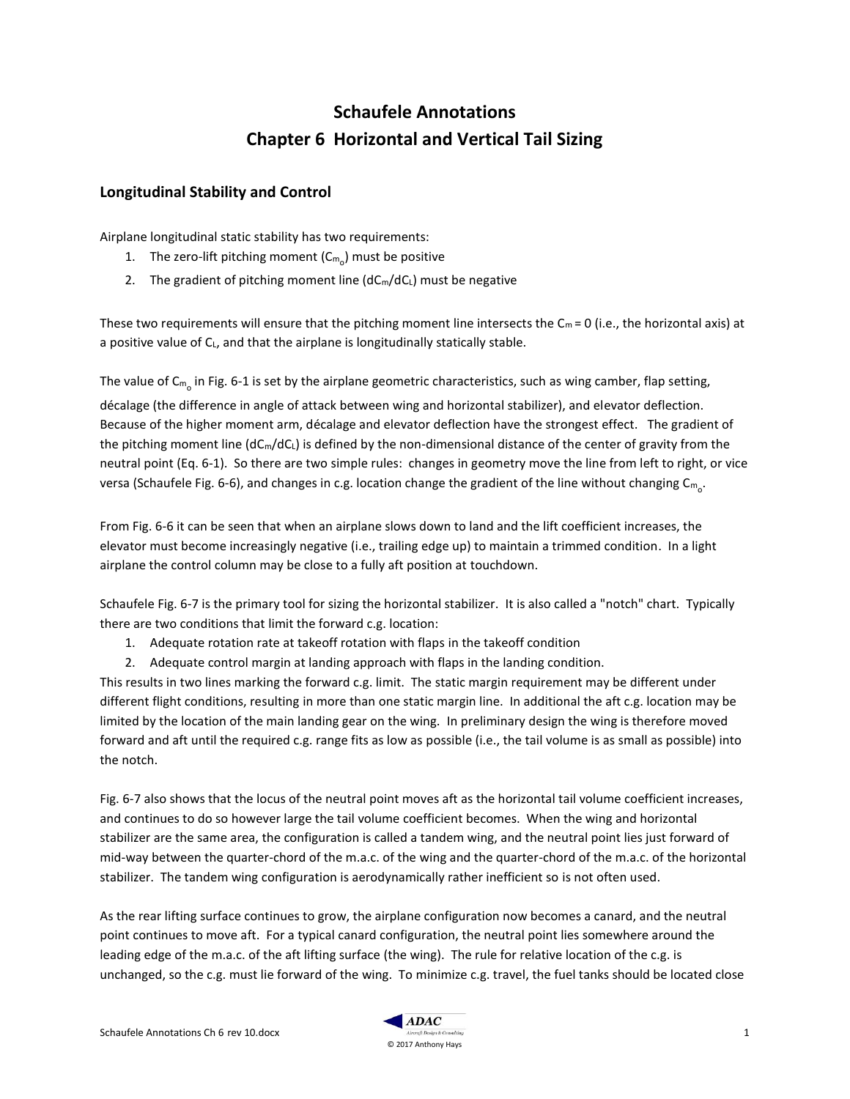# **Schaufele Annotations Chapter 6 Horizontal and Vertical Tail Sizing**

### **Longitudinal Stability and Control**

Airplane longitudinal static stability has two requirements:

- 1. The zero-lift pitching moment ( $\mathsf{Cm}_\mathrm{o}$ ) must be positive
- 2. The gradient of pitching moment line  $(dC_m/dC_L)$  must be negative

These two requirements will ensure that the pitching moment line intersects the  $C_m = 0$  (i.e., the horizontal axis) at a positive value of CL, and that the airplane is longitudinally statically stable.

The value of C<sub>m<sub>o</sub> in Fig. 6-1 is set by the airplane geometric characteristics, such as wing camber, flap setting,</sub>

décalage (the difference in angle of attack between wing and horizontal stabilizer), and elevator deflection. Because of the higher moment arm, décalage and elevator deflection have the strongest effect. The gradient of the pitching moment line  $(dC_m/dC_L)$  is defined by the non-dimensional distance of the center of gravity from the neutral point (Eq. 6-1). So there are two simple rules: changes in geometry move the line from left to right, or vice versa (Schaufele Fig. 6-6), and changes in c.g. location change the gradient of the line without changing  $\mathsf{Cm_o}.$ 

From Fig. 6-6 it can be seen that when an airplane slows down to land and the lift coefficient increases, the elevator must become increasingly negative (i.e., trailing edge up) to maintain a trimmed condition. In a light airplane the control column may be close to a fully aft position at touchdown.

Schaufele Fig. 6-7 is the primary tool for sizing the horizontal stabilizer. It is also called a "notch" chart. Typically there are two conditions that limit the forward c.g. location:

- 1. Adequate rotation rate at takeoff rotation with flaps in the takeoff condition
- 2. Adequate control margin at landing approach with flaps in the landing condition.

This results in two lines marking the forward c.g. limit. The static margin requirement may be different under different flight conditions, resulting in more than one static margin line. In additional the aft c.g. location may be limited by the location of the main landing gear on the wing. In preliminary design the wing is therefore moved forward and aft until the required c.g. range fits as low as possible (i.e., the tail volume is as small as possible) into the notch.

Fig. 6-7 also shows that the locus of the neutral point moves aft as the horizontal tail volume coefficient increases, and continues to do so however large the tail volume coefficient becomes. When the wing and horizontal stabilizer are the same area, the configuration is called a tandem wing, and the neutral point lies just forward of mid-way between the quarter-chord of the m.a.c. of the wing and the quarter-chord of the m.a.c. of the horizontal stabilizer. The tandem wing configuration is aerodynamically rather inefficient so is not often used.

As the rear lifting surface continues to grow, the airplane configuration now becomes a canard, and the neutral point continues to move aft. For a typical canard configuration, the neutral point lies somewhere around the leading edge of the m.a.c. of the aft lifting surface (the wing). The rule for relative location of the c.g. is unchanged, so the c.g. must lie forward of the wing. To minimize c.g. travel, the fuel tanks should be located close

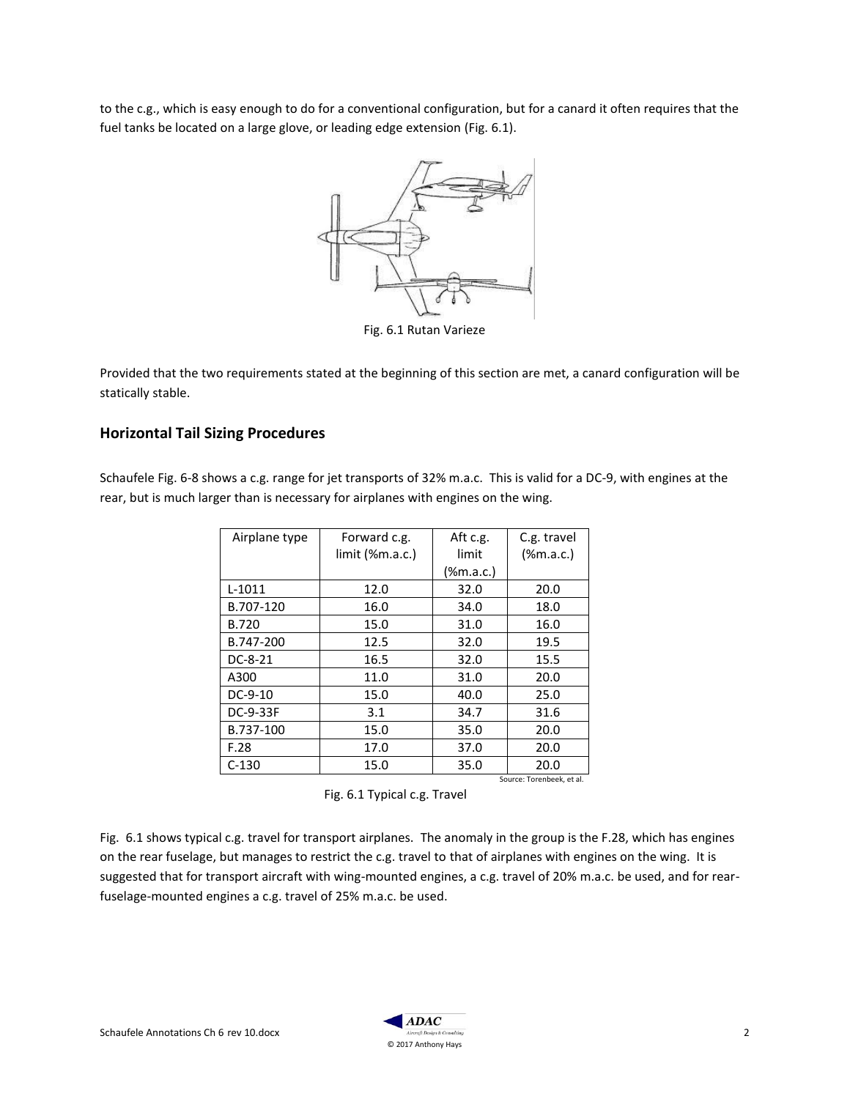to the c.g., which is easy enough to do for a conventional configuration, but for a canard it often requires that the fuel tanks be located on a large glove, or leading edge extension (Fig. 6.1).



Fig. 6.1 Rutan Varieze

Provided that the two requirements stated at the beginning of this section are met, a canard configuration will be statically stable.

## **Horizontal Tail Sizing Procedures**

Schaufele Fig. 6-8 shows a c.g. range for jet transports of 32% m.a.c. This is valid for a DC-9, with engines at the rear, but is much larger than is necessary for airplanes with engines on the wing.

| Airplane type             | Forward c.g.     | Aft c.g.  | C.g. travel  |
|---------------------------|------------------|-----------|--------------|
|                           | limit (, m.a.c.) | limit     | $(\%m.a.c.)$ |
|                           |                  | (%m.a.c.) |              |
| $L-1011$                  | 12.0             | 32.0      | 20.0         |
| B.707-120                 | 16.0             | 34.0      | 18.0         |
| <b>B.720</b>              | 15.0             | 31.0      | 16.0         |
| B.747-200                 | 12.5             | 32.0      | 19.5         |
| DC-8-21                   | 16.5             | 32.0      | 15.5         |
| A300                      | 11.0             | 31.0      | 20.0         |
| DC-9-10                   | 15.0             | 40.0      | 25.0         |
| DC-9-33F                  | 3.1              | 34.7      | 31.6         |
| B.737-100                 | 15.0             | 35.0      | 20.0         |
| F.28                      | 17.0             | 37.0      | 20.0         |
| $C-130$                   | 15.0             | 35.0      | 20.0         |
| Source: Torenbeek, et al. |                  |           |              |



Fig. 6.1 shows typical c.g. travel for transport airplanes. The anomaly in the group is the F.28, which has engines on the rear fuselage, but manages to restrict the c.g. travel to that of airplanes with engines on the wing. It is suggested that for transport aircraft with wing-mounted engines, a c.g. travel of 20% m.a.c. be used, and for rearfuselage-mounted engines a c.g. travel of 25% m.a.c. be used.

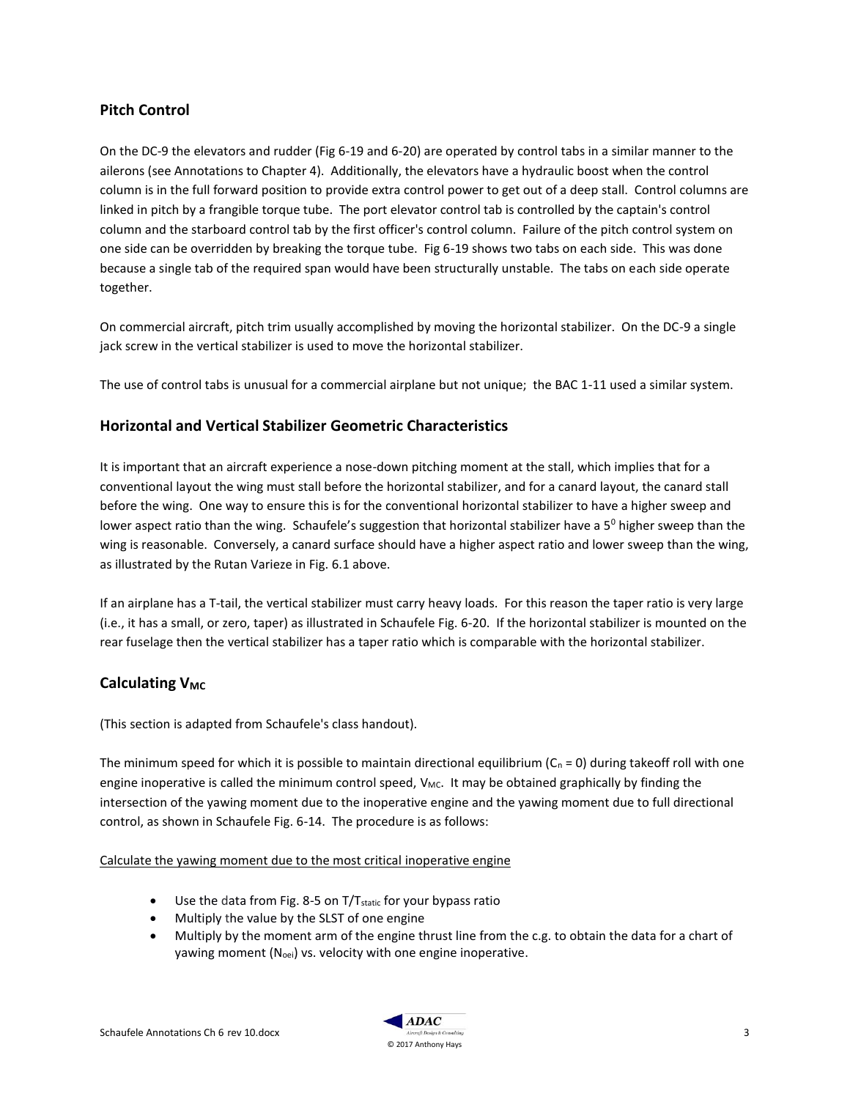### **Pitch Control**

On the DC-9 the elevators and rudder (Fig 6-19 and 6-20) are operated by control tabs in a similar manner to the ailerons (see Annotations to Chapter 4). Additionally, the elevators have a hydraulic boost when the control column is in the full forward position to provide extra control power to get out of a deep stall. Control columns are linked in pitch by a frangible torque tube. The port elevator control tab is controlled by the captain's control column and the starboard control tab by the first officer's control column. Failure of the pitch control system on one side can be overridden by breaking the torque tube. Fig 6-19 shows two tabs on each side. This was done because a single tab of the required span would have been structurally unstable. The tabs on each side operate together.

On commercial aircraft, pitch trim usually accomplished by moving the horizontal stabilizer. On the DC-9 a single jack screw in the vertical stabilizer is used to move the horizontal stabilizer.

The use of control tabs is unusual for a commercial airplane but not unique; the BAC 1-11 used a similar system.

### **Horizontal and Vertical Stabilizer Geometric Characteristics**

It is important that an aircraft experience a nose-down pitching moment at the stall, which implies that for a conventional layout the wing must stall before the horizontal stabilizer, and for a canard layout, the canard stall before the wing. One way to ensure this is for the conventional horizontal stabilizer to have a higher sweep and lower aspect ratio than the wing. Schaufele's suggestion that horizontal stabilizer have a  $5^0$  higher sweep than the wing is reasonable. Conversely, a canard surface should have a higher aspect ratio and lower sweep than the wing, as illustrated by the Rutan Varieze in Fig. 6.1 above.

If an airplane has a T-tail, the vertical stabilizer must carry heavy loads. For this reason the taper ratio is very large (i.e., it has a small, or zero, taper) as illustrated in Schaufele Fig. 6-20. If the horizontal stabilizer is mounted on the rear fuselage then the vertical stabilizer has a taper ratio which is comparable with the horizontal stabilizer.

## **Calculating V<sub>MC</sub>**

(This section is adapted from Schaufele's class handout).

The minimum speed for which it is possible to maintain directional equilibrium ( $C_n = 0$ ) during takeoff roll with one engine inoperative is called the minimum control speed, V<sub>MC</sub>. It may be obtained graphically by finding the intersection of the yawing moment due to the inoperative engine and the yawing moment due to full directional control, as shown in Schaufele Fig. 6-14. The procedure is as follows:

#### Calculate the yawing moment due to the most critical inoperative engine

- $\bullet$  Use the data from Fig. 8-5 on T/T $_{\text{static}}$  for your bypass ratio
- Multiply the value by the SLST of one engine
- Multiply by the moment arm of the engine thrust line from the c.g. to obtain the data for a chart of yawing moment (N<sub>oei</sub>) vs. velocity with one engine inoperative.

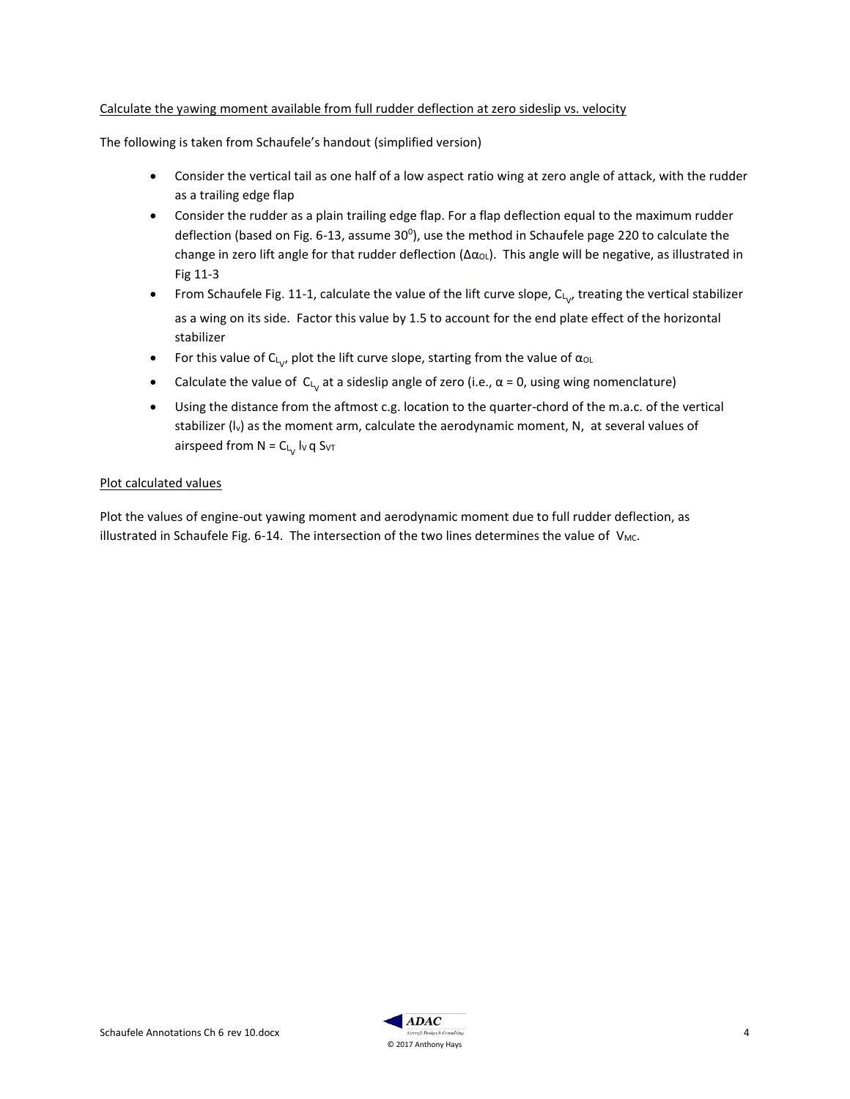#### Calculate the yawing moment available from full rudder deflection at zero sideslip vs. velocity

The following is taken from Schaufele's handout (simplified version)

- Consider the vertical tail as one half of a low aspect ratio wing at zero angle of attack, with the rudder as a trailing edge flap
- Consider the rudder as a plain trailing edge flap. For a flap deflection equal to the maximum rudder deflection (based on Fig. 6-13, assume 30<sup>0</sup>), use the method in Schaufele page 220 to calculate the change in zero lift angle for that rudder deflection (Δα<sub>OL</sub>). This angle will be negative, as illustrated in Fig 11-3
- From Schaufele Fig. 11-1, calculate the value of the lift curve slope,  $C_{L_{V'}}$  treating the vertical stabilizer as a wing on its side. Factor this value by 1.5 to account for the end plate effect of the horizontal stabilizer
- For this value of C<sub>L<sub>V</sub></sub>, plot the lift curve slope, starting from the value of α<sub>OL</sub>
- Calculate the value of  $C_{L_V}$  at a sideslip angle of zero (i.e.,  $\alpha$  = 0, using wing nomenclature)
- Using the distance from the aftmost c.g. location to the quarter-chord of the m.a.c. of the vertical stabilizer (I<sub>v</sub>) as the moment arm, calculate the aerodynamic moment, N, at several values of airspeed from N = C $_{\mathsf{L}_{\mathsf{V}}}$  Iv q S $_{\mathsf{V}}$ т

#### Plot calculated values

Plot the values of engine-out yawing moment and aerodynamic moment due to full rudder deflection, as illustrated in Schaufele Fig. 6-14. The intersection of the two lines determines the value of  $V_{MC}$ .